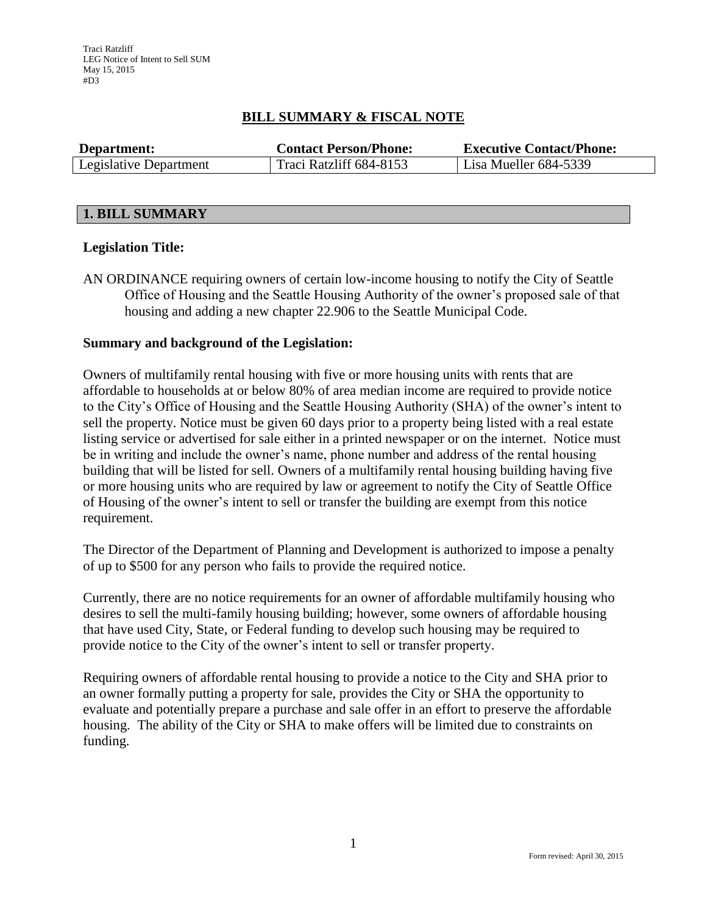# **BILL SUMMARY & FISCAL NOTE**

| Department:            | <b>Contact Person/Phone:</b> | <b>Executive Contact/Phone:</b> |  |  |
|------------------------|------------------------------|---------------------------------|--|--|
| Legislative Department | Traci Ratzliff 684-8153      | Lisa Mueller $684-5339$         |  |  |

## **1. BILL SUMMARY**

## **Legislation Title:**

AN ORDINANCE requiring owners of certain low-income housing to notify the City of Seattle Office of Housing and the Seattle Housing Authority of the owner's proposed sale of that housing and adding a new chapter 22.906 to the Seattle Municipal Code.

## **Summary and background of the Legislation:**

Owners of multifamily rental housing with five or more housing units with rents that are affordable to households at or below 80% of area median income are required to provide notice to the City's Office of Housing and the Seattle Housing Authority (SHA) of the owner's intent to sell the property. Notice must be given 60 days prior to a property being listed with a real estate listing service or advertised for sale either in a printed newspaper or on the internet. Notice must be in writing and include the owner's name, phone number and address of the rental housing building that will be listed for sell. Owners of a multifamily rental housing building having five or more housing units who are required by law or agreement to notify the City of Seattle Office of Housing of the owner's intent to sell or transfer the building are exempt from this notice requirement.

The Director of the Department of Planning and Development is authorized to impose a penalty of up to \$500 for any person who fails to provide the required notice.

Currently, there are no notice requirements for an owner of affordable multifamily housing who desires to sell the multi-family housing building; however, some owners of affordable housing that have used City, State, or Federal funding to develop such housing may be required to provide notice to the City of the owner's intent to sell or transfer property.

Requiring owners of affordable rental housing to provide a notice to the City and SHA prior to an owner formally putting a property for sale, provides the City or SHA the opportunity to evaluate and potentially prepare a purchase and sale offer in an effort to preserve the affordable housing. The ability of the City or SHA to make offers will be limited due to constraints on funding.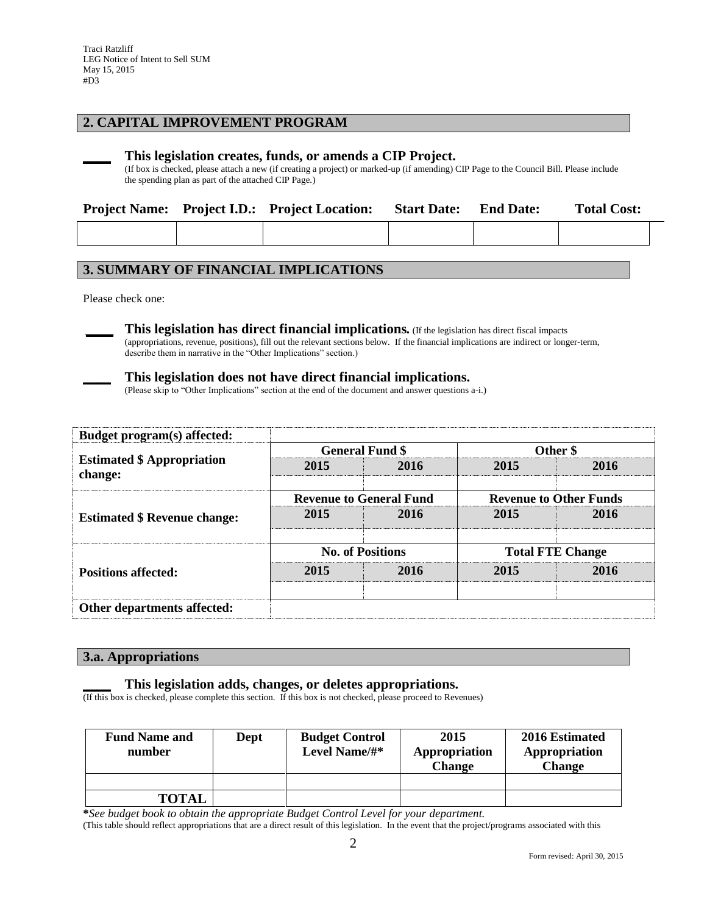## **2. CAPITAL IMPROVEMENT PROGRAM**

#### **\_\_\_\_ This legislation creates, funds, or amends a CIP Project.**

(If box is checked, please attach a new (if creating a project) or marked-up (if amending) CIP Page to the Council Bill. Please include the spending plan as part of the attached CIP Page.)

|  | <b>Project Name:</b> Project I.D.: Project Location: | <b>Start Date:</b> | <b>End Date:</b> | <b>Total Cost:</b> |  |
|--|------------------------------------------------------|--------------------|------------------|--------------------|--|
|  |                                                      |                    |                  |                    |  |

## **3. SUMMARY OF FINANCIAL IMPLICATIONS**

Please check one:

**\_\_\_\_ This legislation has direct financial implications***.* (If the legislation has direct fiscal impacts (appropriations, revenue, positions), fill out the relevant sections below. If the financial implications are indirect or longer-term, describe them in narrative in the "Other Implications" section.)

#### **\_\_\_\_ This legislation does not have direct financial implications.**

(Please skip to "Other Implications" section at the end of the document and answer questions a-i.)

| Budget program(s) affected:                  |                         |                                |                               |      |  |
|----------------------------------------------|-------------------------|--------------------------------|-------------------------------|------|--|
| <b>Estimated \$ Appropriation</b><br>change: |                         | <b>General Fund \$</b>         | Other \$                      |      |  |
|                                              | 2015                    | 2016                           | 2015                          | 2016 |  |
|                                              |                         | <b>Revenue to General Fund</b> | <b>Revenue to Other Funds</b> |      |  |
| <b>Estimated \$ Revenue change:</b>          | 2015                    | 2016                           | 2015                          | 2016 |  |
|                                              | <b>No. of Positions</b> |                                | <b>Total FTE Change</b>       |      |  |
| <b>Positions affected:</b>                   | 2015                    | 2016                           | 2015                          | 2016 |  |
| Other departments affected:                  |                         |                                |                               |      |  |

#### **3.a. Appropriations**

#### **\_\_\_\_ This legislation adds, changes, or deletes appropriations.**

(If this box is checked, please complete this section. If this box is not checked, please proceed to Revenues)

| <b>Fund Name and</b><br>number | Dept | <b>Budget Control</b><br>Level Name/#* | 2015<br>Appropriation<br><b>Change</b> | 2016 Estimated<br>Appropriation<br><b>Change</b> |
|--------------------------------|------|----------------------------------------|----------------------------------------|--------------------------------------------------|
|                                |      |                                        |                                        |                                                  |
| <b>TOTAL</b>                   |      |                                        |                                        |                                                  |

**\****See budget book to obtain the appropriate Budget Control Level for your department.*

(This table should reflect appropriations that are a direct result of this legislation. In the event that the project/programs associated with this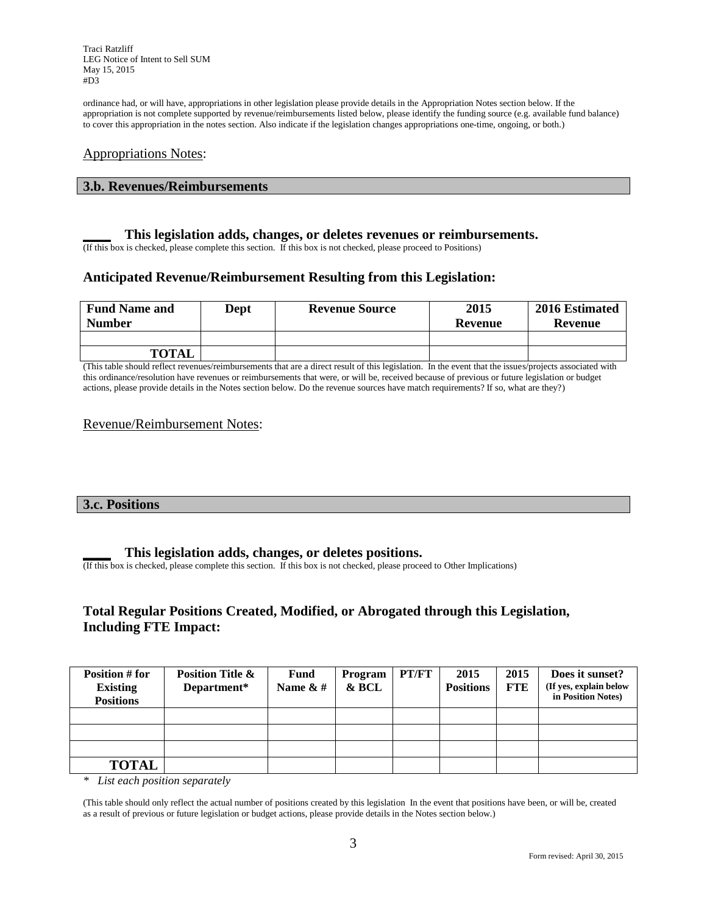Traci Ratzliff LEG Notice of Intent to Sell SUM May 15, 2015 #D3

ordinance had, or will have, appropriations in other legislation please provide details in the Appropriation Notes section below. If the appropriation is not complete supported by revenue/reimbursements listed below, please identify the funding source (e.g. available fund balance) to cover this appropriation in the notes section. Also indicate if the legislation changes appropriations one-time, ongoing, or both.)

### Appropriations Notes:

#### **3.b. Revenues/Reimbursements**

#### **\_\_\_\_ This legislation adds, changes, or deletes revenues or reimbursements.**

(If this box is checked, please complete this section. If this box is not checked, please proceed to Positions)

## **Anticipated Revenue/Reimbursement Resulting from this Legislation:**

| <b>Fund Name and</b><br><b>Number</b> | Dept | <b>Revenue Source</b> | 2015<br>Revenue | 2016 Estimated<br>Revenue |
|---------------------------------------|------|-----------------------|-----------------|---------------------------|
|                                       |      |                       |                 |                           |
| <b>TOTAL</b>                          |      |                       |                 |                           |

(This table should reflect revenues/reimbursements that are a direct result of this legislation. In the event that the issues/projects associated with this ordinance/resolution have revenues or reimbursements that were, or will be, received because of previous or future legislation or budget actions, please provide details in the Notes section below. Do the revenue sources have match requirements? If so, what are they?)

### Revenue/Reimbursement Notes:

### **3.c. Positions**

#### **\_\_\_\_ This legislation adds, changes, or deletes positions.**

(If this box is checked, please complete this section. If this box is not checked, please proceed to Other Implications)

## **Total Regular Positions Created, Modified, or Abrogated through this Legislation, Including FTE Impact:**

| Position # for<br><b>Existing</b><br><b>Positions</b> | <b>Position Title &amp;</b><br>Department* | Fund<br>Name $\& \#$ | Program<br>& BCL | PT/FT | 2015<br><b>Positions</b> | 2015<br><b>FTE</b> | Does it sunset?<br>(If yes, explain below<br>in Position Notes) |
|-------------------------------------------------------|--------------------------------------------|----------------------|------------------|-------|--------------------------|--------------------|-----------------------------------------------------------------|
|                                                       |                                            |                      |                  |       |                          |                    |                                                                 |
|                                                       |                                            |                      |                  |       |                          |                    |                                                                 |
|                                                       |                                            |                      |                  |       |                          |                    |                                                                 |
| <b>TOTAL</b>                                          |                                            |                      |                  |       |                          |                    |                                                                 |

*\* List each position separately*

(This table should only reflect the actual number of positions created by this legislation In the event that positions have been, or will be, created as a result of previous or future legislation or budget actions, please provide details in the Notes section below.)